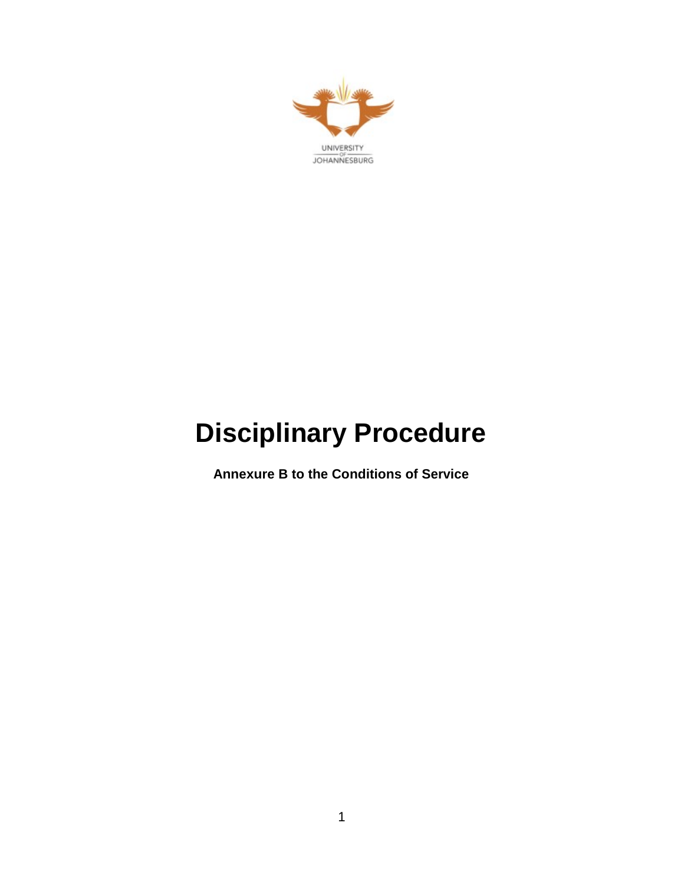

# **Disciplinary Procedure**

**Annexure B to the Conditions of Service**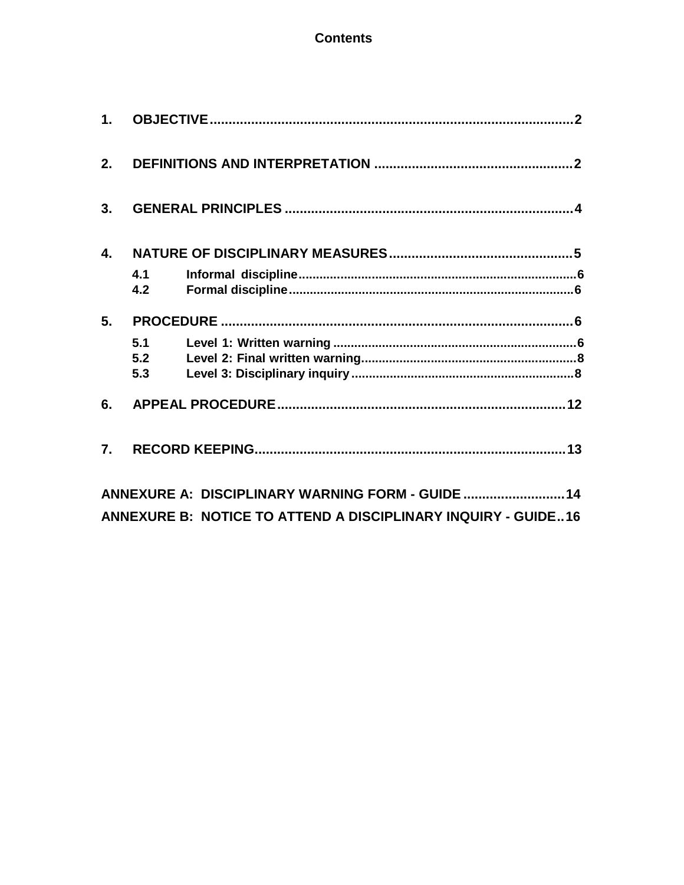# **Contents**

| 2.             |     |                                                               |  |
|----------------|-----|---------------------------------------------------------------|--|
| 3.             |     |                                                               |  |
| $\mathbf{4}$ . |     |                                                               |  |
|                | 4.1 |                                                               |  |
|                | 4.2 |                                                               |  |
| 5.             |     |                                                               |  |
|                | 5.1 |                                                               |  |
|                | 5.2 |                                                               |  |
|                | 5.3 |                                                               |  |
|                |     |                                                               |  |
|                |     |                                                               |  |
|                |     | ANNEXURE A: DISCIPLINARY WARNING FORM - GUIDE  14             |  |
|                |     | ANNEXURE B: NOTICE TO ATTEND A DISCIPLINARY INQUIRY - GUIDE16 |  |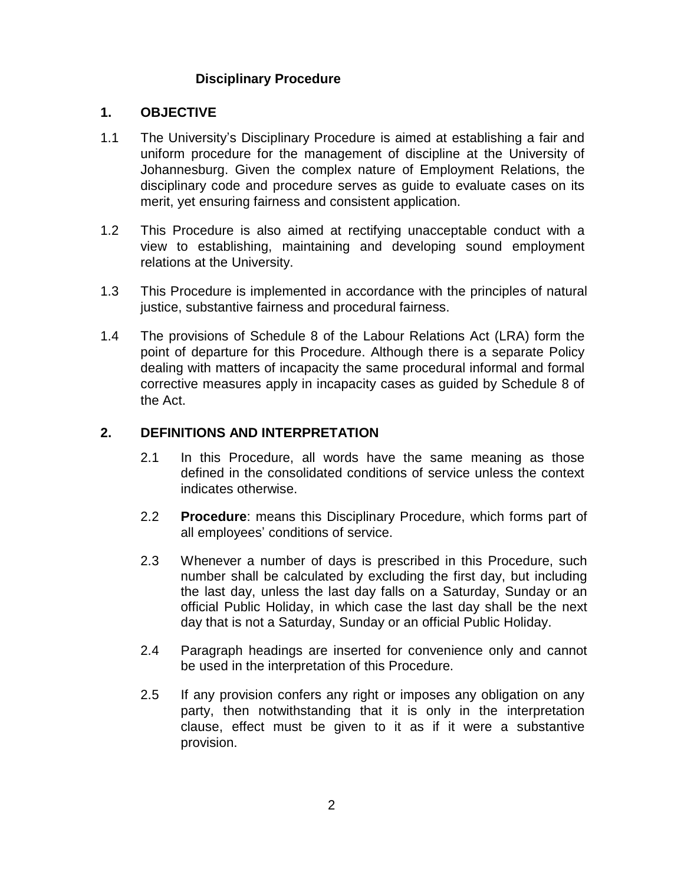# **Disciplinary Procedure**

#### **1. OBJECTIVE**

- 1.1 The University's Disciplinary Procedure is aimed at establishing a fair and uniform procedure for the management of discipline at the University of Johannesburg. Given the complex nature of Employment Relations, the disciplinary code and procedure serves as guide to evaluate cases on its merit, yet ensuring fairness and consistent application.
- 1.2 This Procedure is also aimed at rectifying unacceptable conduct with a view to establishing, maintaining and developing sound employment relations at the University.
- 1.3 This Procedure is implemented in accordance with the principles of natural justice, substantive fairness and procedural fairness.
- 1.4 The provisions of Schedule 8 of the Labour Relations Act (LRA) form the point of departure for this Procedure. Although there is a separate Policy dealing with matters of incapacity the same procedural informal and formal corrective measures apply in incapacity cases as guided by Schedule 8 of the Act.

# **2. DEFINITIONS AND INTERPRETATION**

- 2.1 In this Procedure, all words have the same meaning as those defined in the consolidated conditions of service unless the context indicates otherwise.
- 2.2 **Procedure**: means this Disciplinary Procedure, which forms part of all employees' conditions of service.
- 2.3 Whenever a number of days is prescribed in this Procedure, such number shall be calculated by excluding the first day, but including the last day, unless the last day falls on a Saturday, Sunday or an official Public Holiday, in which case the last day shall be the next day that is not a Saturday, Sunday or an official Public Holiday.
- 2.4 Paragraph headings are inserted for convenience only and cannot be used in the interpretation of this Procedure.
- 2.5 If any provision confers any right or imposes any obligation on any party, then notwithstanding that it is only in the interpretation clause, effect must be given to it as if it were a substantive provision.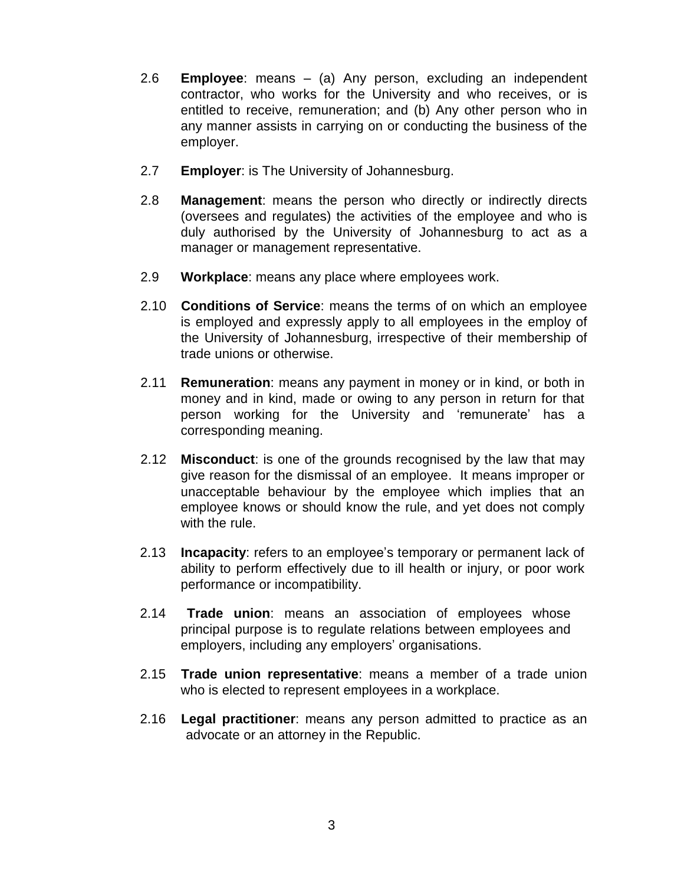- 2.6 **Employee**: means (a) Any person, excluding an independent contractor, who works for the University and who receives, or is entitled to receive, remuneration; and (b) Any other person who in any manner assists in carrying on or conducting the business of the employer.
- 2.7 **Employer**: is The University of Johannesburg.
- 2.8 **Management**: means the person who directly or indirectly directs (oversees and regulates) the activities of the employee and who is duly authorised by the University of Johannesburg to act as a manager or management representative.
- 2.9 **Workplace**: means any place where employees work.
- 2.10 **Conditions of Service**: means the terms of on which an employee is employed and expressly apply to all employees in the employ of the University of Johannesburg, irrespective of their membership of trade unions or otherwise.
- 2.11 **Remuneration**: means any payment in money or in kind, or both in money and in kind, made or owing to any person in return for that person working for the University and 'remunerate' has a corresponding meaning.
- 2.12 **Misconduct**: is one of the grounds recognised by the law that may give reason for the dismissal of an employee. It means improper or unacceptable behaviour by the employee which implies that an employee knows or should know the rule, and yet does not comply with the rule.
- 2.13 **Incapacity**: refers to an employee's temporary or permanent lack of ability to perform effectively due to ill health or injury, or poor work performance or incompatibility.
- 2.14 **Trade union**: means an association of employees whose principal purpose is to regulate relations between employees and employers, including any employers' organisations.
- 2.15 **Trade union representative**: means a member of a trade union who is elected to represent employees in a workplace.
- 2.16 **Legal practitioner**: means any person admitted to practice as an advocate or an attorney in the Republic.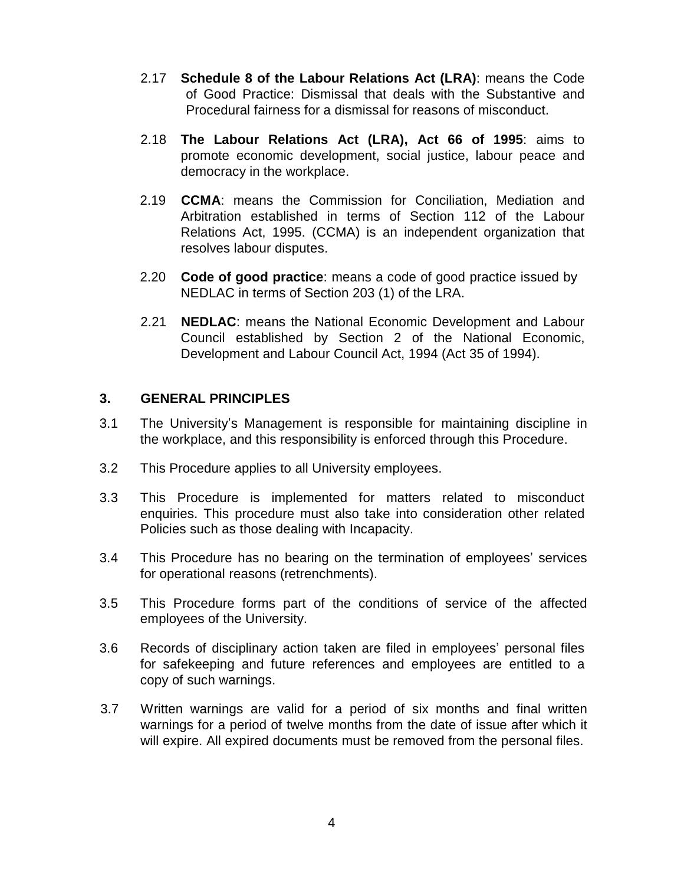- 2.17 **Schedule 8 of the Labour Relations Act (LRA)**: means the Code of Good Practice: Dismissal that deals with the Substantive and Procedural fairness for a dismissal for reasons of misconduct.
- 2.18 **The Labour Relations Act (LRA), Act 66 of 1995**: aims to promote economic development, social justice, labour peace and democracy in the workplace.
- 2.19 **CCMA**: means the Commission for Conciliation, Mediation and Arbitration established in terms of Section 112 of the Labour Relations Act, 1995. (CCMA) is an independent organization that resolves labour disputes.
- 2.20 **Code of good practice**: means a code of good practice issued by NEDLAC in terms of Section 203 (1) of the LRA.
- 2.21 **NEDLAC**: means the National Economic Development and Labour Council established by Section 2 of the National Economic, Development and Labour Council Act, 1994 (Act 35 of 1994).

# **3. GENERAL PRINCIPLES**

- 3.1 The University's Management is responsible for maintaining discipline in the workplace, and this responsibility is enforced through this Procedure.
- 3.2 This Procedure applies to all University employees.
- 3.3 This Procedure is implemented for matters related to misconduct enquiries. This procedure must also take into consideration other related Policies such as those dealing with Incapacity.
- 3.4 This Procedure has no bearing on the termination of employees' services for operational reasons (retrenchments).
- 3.5 This Procedure forms part of the conditions of service of the affected employees of the University.
- 3.6 Records of disciplinary action taken are filed in employees' personal files for safekeeping and future references and employees are entitled to a copy of such warnings.
- 3.7 Written warnings are valid for a period of six months and final written warnings for a period of twelve months from the date of issue after which it will expire. All expired documents must be removed from the personal files.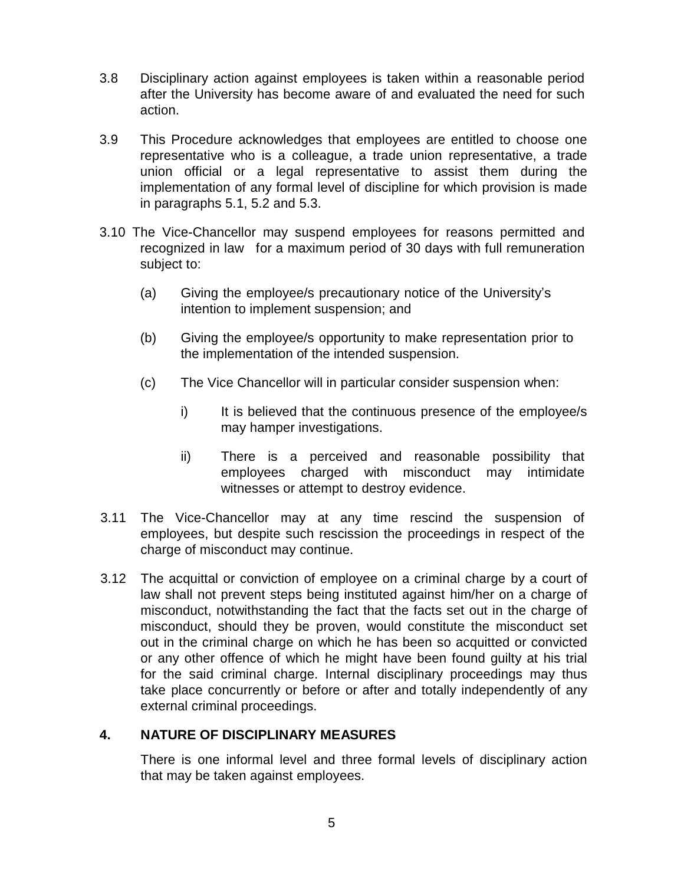- 3.8 Disciplinary action against employees is taken within a reasonable period after the University has become aware of and evaluated the need for such action.
- 3.9 This Procedure acknowledges that employees are entitled to choose one representative who is a colleague, a trade union representative, a trade union official or a legal representative to assist them during the implementation of any formal level of discipline for which provision is made in paragraphs 5.1, 5.2 and 5.3.
- 3.10 The Vice-Chancellor may suspend employees for reasons permitted and recognized in law for a maximum period of 30 days with full remuneration subject to:
	- (a) Giving the employee/s precautionary notice of the University's intention to implement suspension; and
	- (b) Giving the employee/s opportunity to make representation prior to the implementation of the intended suspension.
	- (c) The Vice Chancellor will in particular consider suspension when:
		- i) It is believed that the continuous presence of the employee/s may hamper investigations.
		- ii) There is a perceived and reasonable possibility that employees charged with misconduct may intimidate witnesses or attempt to destroy evidence.
- 3.11 The Vice-Chancellor may at any time rescind the suspension of employees, but despite such rescission the proceedings in respect of the charge of misconduct may continue.
- 3.12 The acquittal or conviction of employee on a criminal charge by a court of law shall not prevent steps being instituted against him/her on a charge of misconduct, notwithstanding the fact that the facts set out in the charge of misconduct, should they be proven, would constitute the misconduct set out in the criminal charge on which he has been so acquitted or convicted or any other offence of which he might have been found guilty at his trial for the said criminal charge. Internal disciplinary proceedings may thus take place concurrently or before or after and totally independently of any external criminal proceedings.

# **4. NATURE OF DISCIPLINARY MEASURES**

There is one informal level and three formal levels of disciplinary action that may be taken against employees.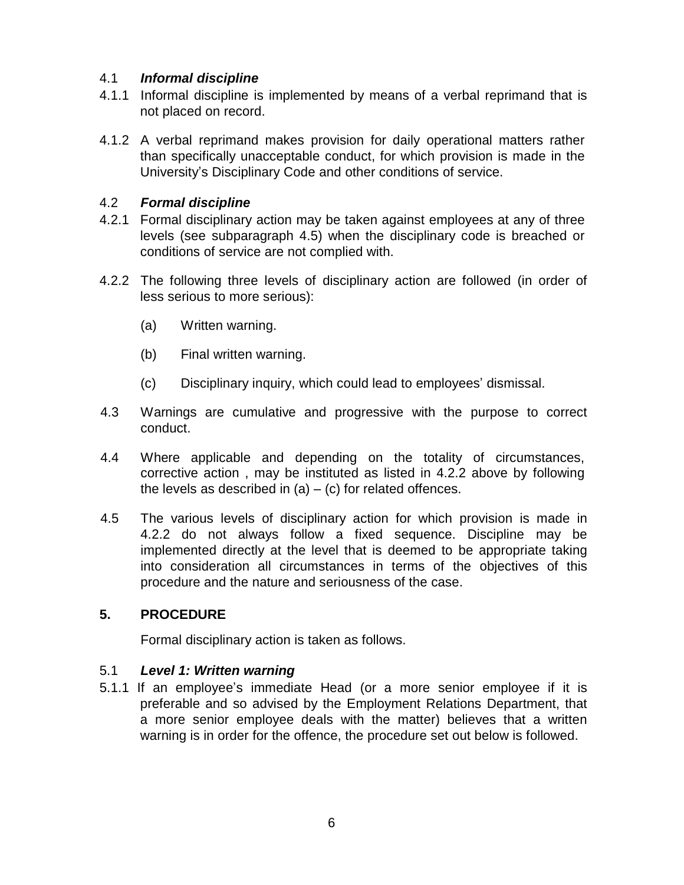# 4.1 *Informal discipline*

- 4.1.1 Informal discipline is implemented by means of a verbal reprimand that is not placed on record.
- 4.1.2 A verbal reprimand makes provision for daily operational matters rather than specifically unacceptable conduct, for which provision is made in the University's Disciplinary Code and other conditions of service.

# 4.2 *Formal discipline*

- 4.2.1 Formal disciplinary action may be taken against employees at any of three levels (see subparagraph 4.5) when the disciplinary code is breached or conditions of service are not complied with.
- 4.2.2 The following three levels of disciplinary action are followed (in order of less serious to more serious):
	- (a) Written warning.
	- (b) Final written warning.
	- (c) Disciplinary inquiry, which could lead to employees' dismissal.
- 4.3 Warnings are cumulative and progressive with the purpose to correct conduct.
- 4.4 Where applicable and depending on the totality of circumstances, corrective action , may be instituted as listed in 4.2.2 above by following the levels as described in  $(a) - (c)$  for related offences.
- 4.5 The various levels of disciplinary action for which provision is made in 4.2.2 do not always follow a fixed sequence. Discipline may be implemented directly at the level that is deemed to be appropriate taking into consideration all circumstances in terms of the objectives of this procedure and the nature and seriousness of the case.

# **5. PROCEDURE**

Formal disciplinary action is taken as follows.

#### 5.1 *Level 1: Written warning*

5.1.1 If an employee's immediate Head (or a more senior employee if it is preferable and so advised by the Employment Relations Department, that a more senior employee deals with the matter) believes that a written warning is in order for the offence, the procedure set out below is followed.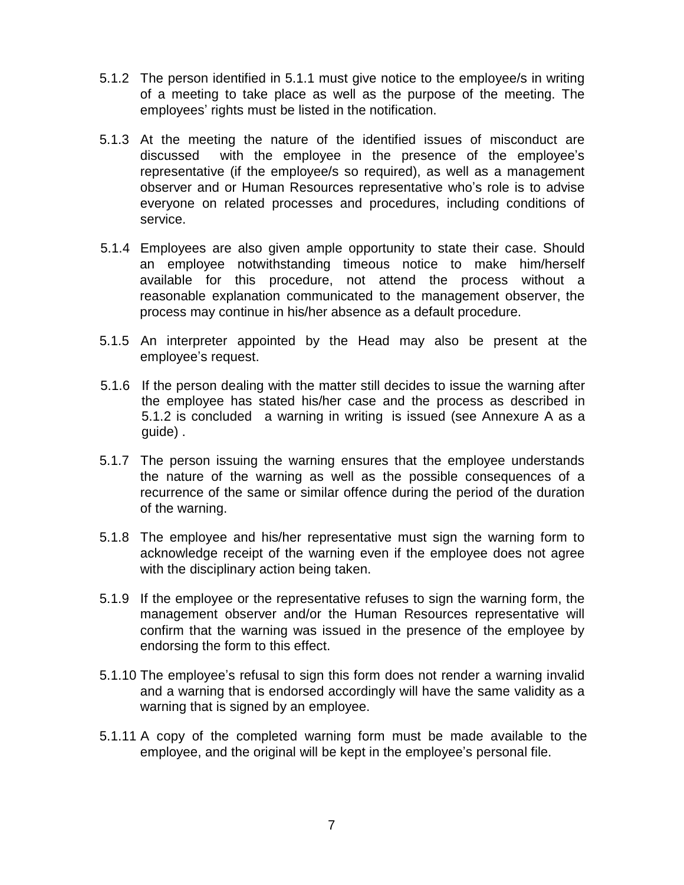- 5.1.2 The person identified in 5.1.1 must give notice to the employee/s in writing of a meeting to take place as well as the purpose of the meeting. The employees' rights must be listed in the notification.
- 5.1.3 At the meeting the nature of the identified issues of misconduct are discussed with the employee in the presence of the employee's representative (if the employee/s so required), as well as a management observer and or Human Resources representative who's role is to advise everyone on related processes and procedures, including conditions of service.
- 5.1.4 Employees are also given ample opportunity to state their case. Should an employee notwithstanding timeous notice to make him/herself available for this procedure, not attend the process without a reasonable explanation communicated to the management observer, the process may continue in his/her absence as a default procedure.
- 5.1.5 An interpreter appointed by the Head may also be present at the employee's request.
- 5.1.6 If the person dealing with the matter still decides to issue the warning after the employee has stated his/her case and the process as described in 5.1.2 is concluded a warning in writing is issued (see Annexure A as a guide) .
- 5.1.7 The person issuing the warning ensures that the employee understands the nature of the warning as well as the possible consequences of a recurrence of the same or similar offence during the period of the duration of the warning.
- 5.1.8 The employee and his/her representative must sign the warning form to acknowledge receipt of the warning even if the employee does not agree with the disciplinary action being taken.
- 5.1.9 If the employee or the representative refuses to sign the warning form, the management observer and/or the Human Resources representative will confirm that the warning was issued in the presence of the employee by endorsing the form to this effect.
- 5.1.10 The employee's refusal to sign this form does not render a warning invalid and a warning that is endorsed accordingly will have the same validity as a warning that is signed by an employee.
- 5.1.11 A copy of the completed warning form must be made available to the employee, and the original will be kept in the employee's personal file.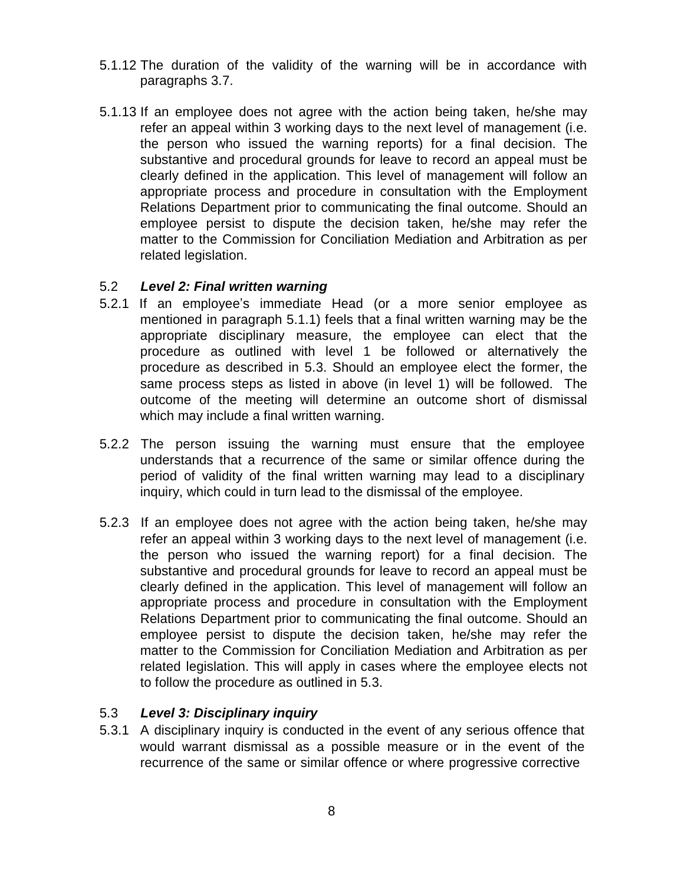- 5.1.12 The duration of the validity of the warning will be in accordance with paragraphs 3.7.
- 5.1.13 If an employee does not agree with the action being taken, he/she may refer an appeal within 3 working days to the next level of management (i.e. the person who issued the warning reports) for a final decision. The substantive and procedural grounds for leave to record an appeal must be clearly defined in the application. This level of management will follow an appropriate process and procedure in consultation with the Employment Relations Department prior to communicating the final outcome. Should an employee persist to dispute the decision taken, he/she may refer the matter to the Commission for Conciliation Mediation and Arbitration as per related legislation.

#### 5.2 *Level 2: Final written warning*

- 5.2.1 If an employee's immediate Head (or a more senior employee as mentioned in paragraph 5.1.1) feels that a final written warning may be the appropriate disciplinary measure, the employee can elect that the procedure as outlined with level 1 be followed or alternatively the procedure as described in 5.3. Should an employee elect the former, the same process steps as listed in above (in level 1) will be followed. The outcome of the meeting will determine an outcome short of dismissal which may include a final written warning.
- 5.2.2 The person issuing the warning must ensure that the employee understands that a recurrence of the same or similar offence during the period of validity of the final written warning may lead to a disciplinary inquiry, which could in turn lead to the dismissal of the employee.
- 5.2.3 If an employee does not agree with the action being taken, he/she may refer an appeal within 3 working days to the next level of management (i.e. the person who issued the warning report) for a final decision. The substantive and procedural grounds for leave to record an appeal must be clearly defined in the application. This level of management will follow an appropriate process and procedure in consultation with the Employment Relations Department prior to communicating the final outcome. Should an employee persist to dispute the decision taken, he/she may refer the matter to the Commission for Conciliation Mediation and Arbitration as per related legislation. This will apply in cases where the employee elects not to follow the procedure as outlined in 5.3.

#### 5.3 *Level 3: Disciplinary inquiry*

5.3.1 A disciplinary inquiry is conducted in the event of any serious offence that would warrant dismissal as a possible measure or in the event of the recurrence of the same or similar offence or where progressive corrective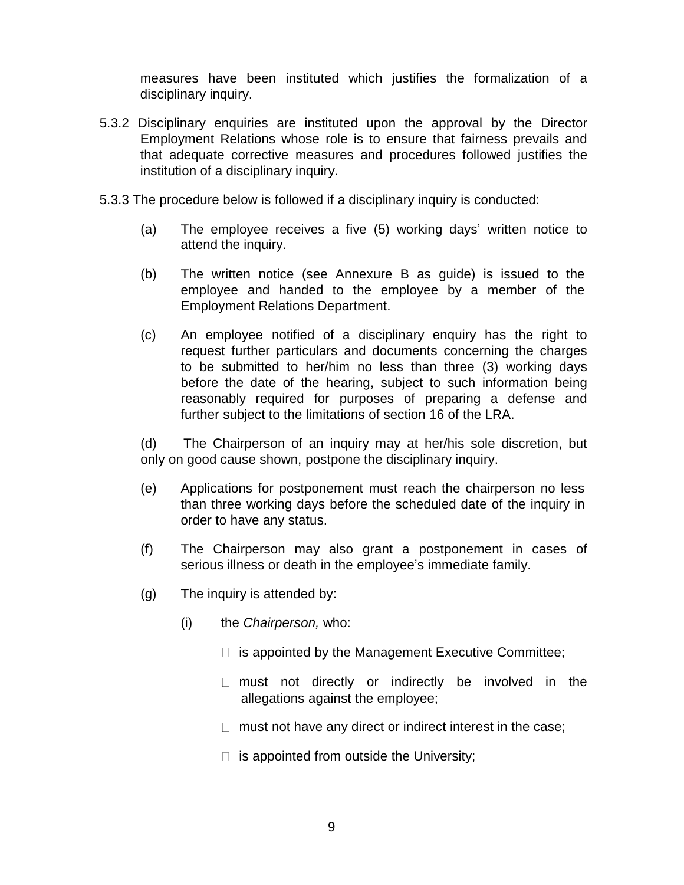measures have been instituted which justifies the formalization of a disciplinary inquiry.

- 5.3.2 Disciplinary enquiries are instituted upon the approval by the Director Employment Relations whose role is to ensure that fairness prevails and that adequate corrective measures and procedures followed justifies the institution of a disciplinary inquiry.
- 5.3.3 The procedure below is followed if a disciplinary inquiry is conducted:
	- (a) The employee receives a five (5) working days' written notice to attend the inquiry.
	- (b) The written notice (see Annexure B as guide) is issued to the employee and handed to the employee by a member of the Employment Relations Department.
	- (c) An employee notified of a disciplinary enquiry has the right to request further particulars and documents concerning the charges to be submitted to her/him no less than three (3) working days before the date of the hearing, subject to such information being reasonably required for purposes of preparing a defense and further subject to the limitations of section 16 of the LRA.

(d) The Chairperson of an inquiry may at her/his sole discretion, but only on good cause shown, postpone the disciplinary inquiry.

- (e) Applications for postponement must reach the chairperson no less than three working days before the scheduled date of the inquiry in order to have any status.
- (f) The Chairperson may also grant a postponement in cases of serious illness or death in the employee's immediate family.
- (g) The inquiry is attended by:
	- (i) the *Chairperson,* who:
		- $\Box$  is appointed by the Management Executive Committee;
		- $\Box$  must not directly or indirectly be involved in the allegations against the employee;
		- $\Box$  must not have any direct or indirect interest in the case;
		- $\Box$  is appointed from outside the University;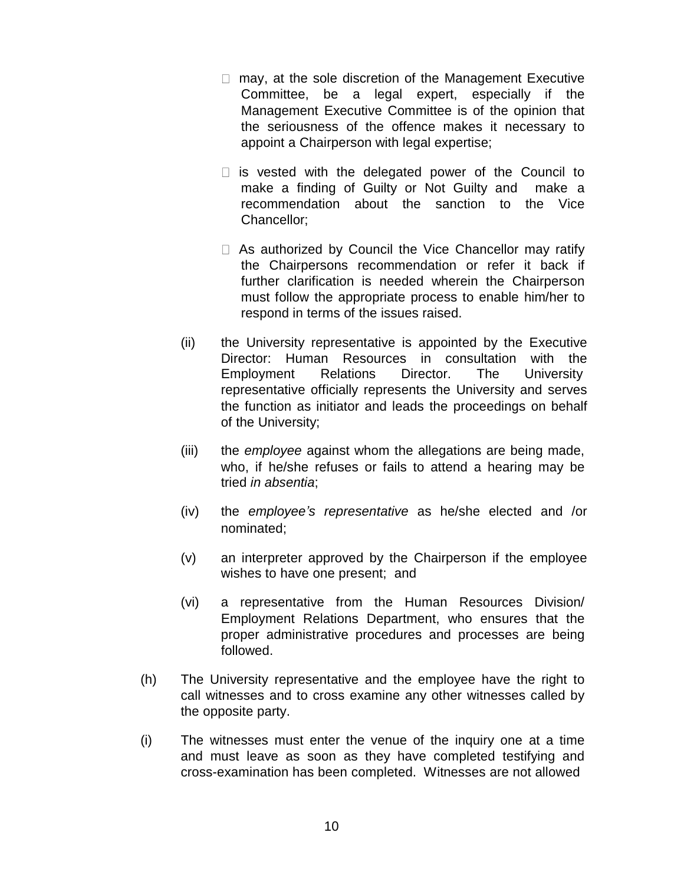- $\Box$  may, at the sole discretion of the Management Executive Committee, be a legal expert, especially if the Management Executive Committee is of the opinion that the seriousness of the offence makes it necessary to appoint a Chairperson with legal expertise;
- $\Box$  is vested with the delegated power of the Council to make a finding of Guilty or Not Guilty and make a recommendation about the sanction to the Vice Chancellor;
- $\Box$  As authorized by Council the Vice Chancellor may ratify the Chairpersons recommendation or refer it back if further clarification is needed wherein the Chairperson must follow the appropriate process to enable him/her to respond in terms of the issues raised.
- (ii) the University representative is appointed by the Executive Director: Human Resources in consultation with the Employment Relations Director. The University representative officially represents the University and serves the function as initiator and leads the proceedings on behalf of the University;
- (iii) the *employee* against whom the allegations are being made, who, if he/she refuses or fails to attend a hearing may be tried *in absentia*;
- (iv) the *employee's representative* as he/she elected and /or nominated;
- (v) an interpreter approved by the Chairperson if the employee wishes to have one present; and
- (vi) a representative from the Human Resources Division/ Employment Relations Department, who ensures that the proper administrative procedures and processes are being followed.
- (h) The University representative and the employee have the right to call witnesses and to cross examine any other witnesses called by the opposite party.
- (i) The witnesses must enter the venue of the inquiry one at a time and must leave as soon as they have completed testifying and cross-examination has been completed. Witnesses are not allowed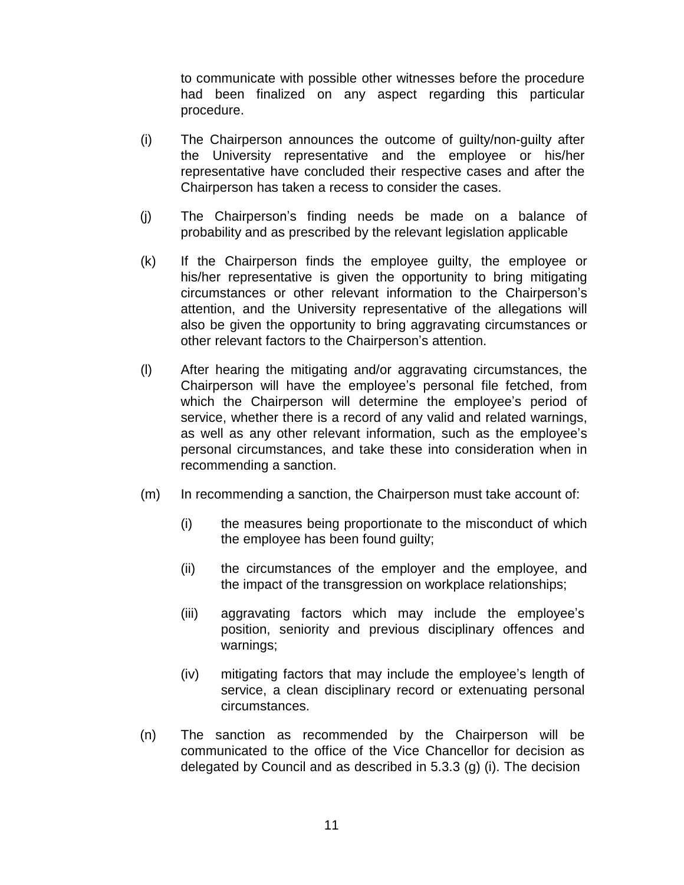to communicate with possible other witnesses before the procedure had been finalized on any aspect regarding this particular procedure.

- (i) The Chairperson announces the outcome of guilty/non-guilty after the University representative and the employee or his/her representative have concluded their respective cases and after the Chairperson has taken a recess to consider the cases.
- (j) The Chairperson's finding needs be made on a balance of probability and as prescribed by the relevant legislation applicable
- (k) If the Chairperson finds the employee guilty, the employee or his/her representative is given the opportunity to bring mitigating circumstances or other relevant information to the Chairperson's attention, and the University representative of the allegations will also be given the opportunity to bring aggravating circumstances or other relevant factors to the Chairperson's attention.
- (l) After hearing the mitigating and/or aggravating circumstances, the Chairperson will have the employee's personal file fetched, from which the Chairperson will determine the employee's period of service, whether there is a record of any valid and related warnings, as well as any other relevant information, such as the employee's personal circumstances, and take these into consideration when in recommending a sanction.
- (m) In recommending a sanction, the Chairperson must take account of:
	- (i) the measures being proportionate to the misconduct of which the employee has been found guilty;
	- (ii) the circumstances of the employer and the employee, and the impact of the transgression on workplace relationships;
	- (iii) aggravating factors which may include the employee's position, seniority and previous disciplinary offences and warnings;
	- (iv) mitigating factors that may include the employee's length of service, a clean disciplinary record or extenuating personal circumstances.
- (n) The sanction as recommended by the Chairperson will be communicated to the office of the Vice Chancellor for decision as delegated by Council and as described in 5.3.3 (g) (i). The decision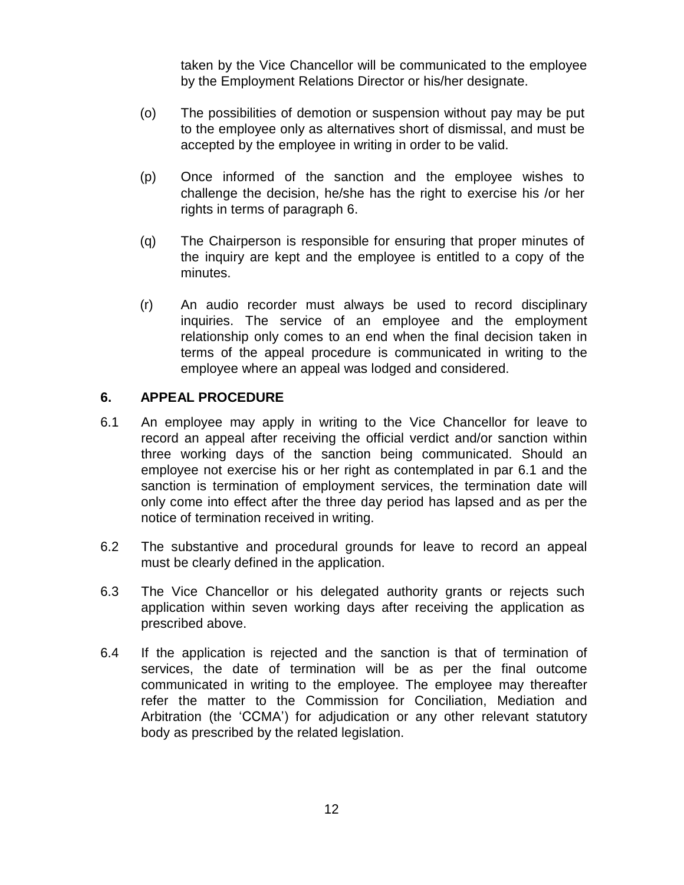taken by the Vice Chancellor will be communicated to the employee by the Employment Relations Director or his/her designate.

- (o) The possibilities of demotion or suspension without pay may be put to the employee only as alternatives short of dismissal, and must be accepted by the employee in writing in order to be valid.
- (p) Once informed of the sanction and the employee wishes to challenge the decision, he/she has the right to exercise his /or her rights in terms of paragraph 6.
- (q) The Chairperson is responsible for ensuring that proper minutes of the inquiry are kept and the employee is entitled to a copy of the minutes.
- (r) An audio recorder must always be used to record disciplinary inquiries. The service of an employee and the employment relationship only comes to an end when the final decision taken in terms of the appeal procedure is communicated in writing to the employee where an appeal was lodged and considered.

# **6. APPEAL PROCEDURE**

- 6.1 An employee may apply in writing to the Vice Chancellor for leave to record an appeal after receiving the official verdict and/or sanction within three working days of the sanction being communicated. Should an employee not exercise his or her right as contemplated in par 6.1 and the sanction is termination of employment services, the termination date will only come into effect after the three day period has lapsed and as per the notice of termination received in writing.
- 6.2 The substantive and procedural grounds for leave to record an appeal must be clearly defined in the application.
- 6.3 The Vice Chancellor or his delegated authority grants or rejects such application within seven working days after receiving the application as prescribed above.
- 6.4 If the application is rejected and the sanction is that of termination of services, the date of termination will be as per the final outcome communicated in writing to the employee. The employee may thereafter refer the matter to the Commission for Conciliation, Mediation and Arbitration (the 'CCMA') for adjudication or any other relevant statutory body as prescribed by the related legislation.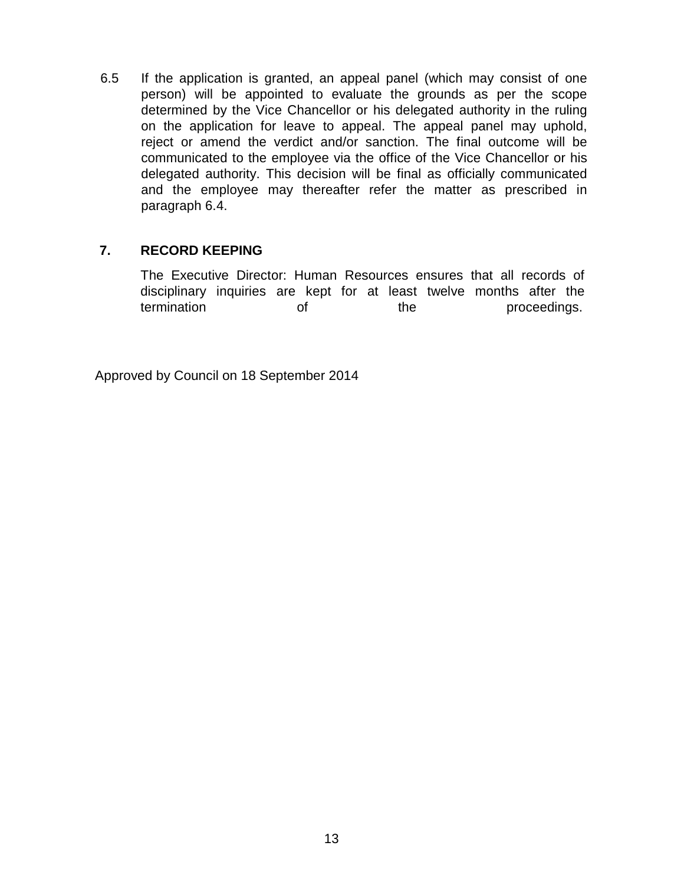6.5 If the application is granted, an appeal panel (which may consist of one person) will be appointed to evaluate the grounds as per the scope determined by the Vice Chancellor or his delegated authority in the ruling on the application for leave to appeal. The appeal panel may uphold, reject or amend the verdict and/or sanction. The final outcome will be communicated to the employee via the office of the Vice Chancellor or his delegated authority. This decision will be final as officially communicated and the employee may thereafter refer the matter as prescribed in paragraph 6.4.

# **7. RECORD KEEPING**

The Executive Director: Human Resources ensures that all records of disciplinary inquiries are kept for at least twelve months after the termination of the proceedings.

Approved by Council on 18 September 2014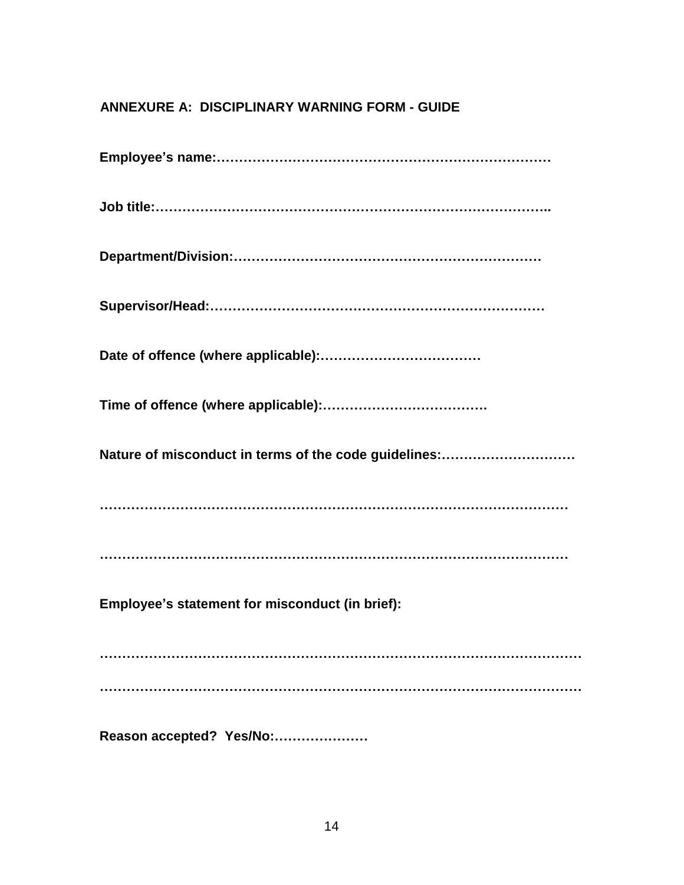# **ANNEXURE A: DISCIPLINARY WARNING FORM - GUIDE**

| Nature of misconduct in terms of the code guidelines: |
|-------------------------------------------------------|
|                                                       |
|                                                       |
| Employee's statement for misconduct (in brief):       |
|                                                       |
|                                                       |
| Reason accepted? Yes/No:                              |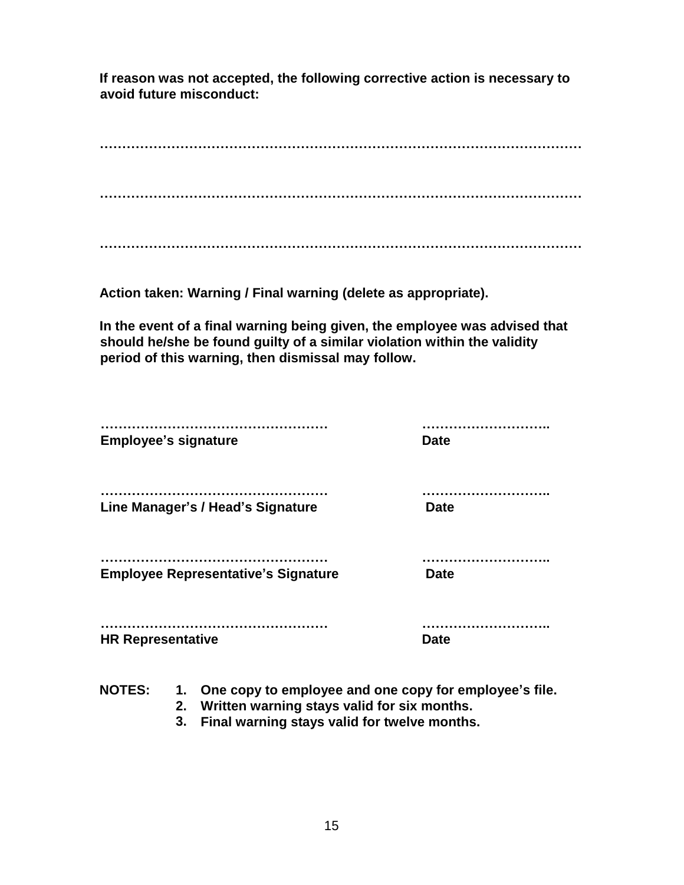**If reason was not accepted, the following corrective action is necessary to avoid future misconduct:**

**……………………………………………………………………………………………… ………………………………………………………………………………………………**

**………………………………………………………………………………………………**

**Action taken: Warning / Final warning (delete as appropriate).**

**In the event of a final warning being given, the employee was advised that should he/she be found guilty of a similar violation within the validity period of this warning, then dismissal may follow.**

| <b>Employee's signature</b>                | <b>Date</b> |
|--------------------------------------------|-------------|
| Line Manager's / Head's Signature          | <b>Date</b> |
| <b>Employee Representative's Signature</b> | <b>Date</b> |
| <b>HR Representative</b>                   | <b>Date</b> |

- **NOTES: 1. One copy to employee and one copy for employee's file.**
	- **2. Written warning stays valid for six months.**
	- **3. Final warning stays valid for twelve months.**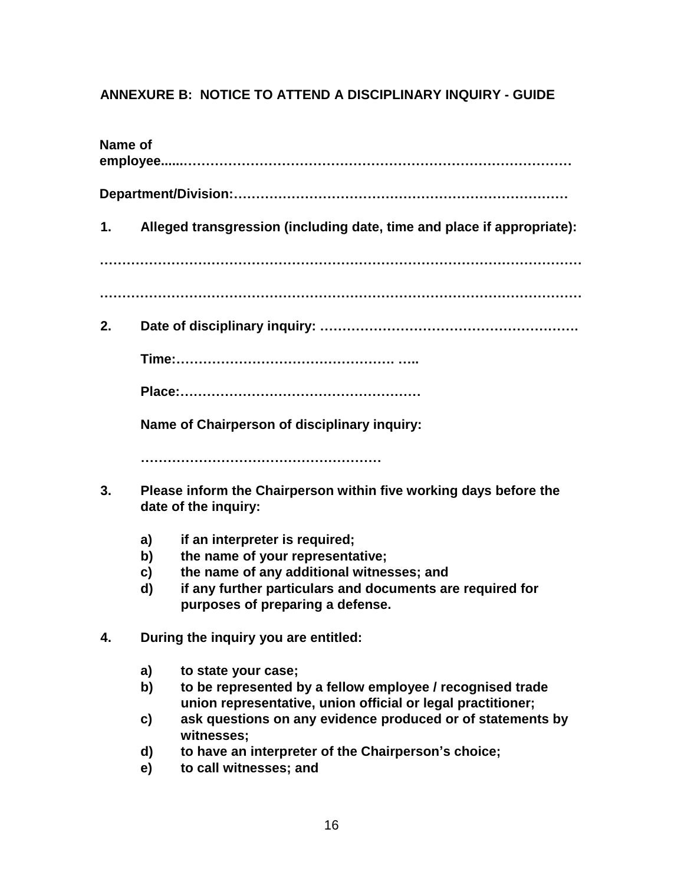# **ANNEXURE B: NOTICE TO ATTEND A DISCIPLINARY INQUIRY - GUIDE**

| Name of                                                                                                                                                                                                                                                                                                                                    |  |  |  |  |  |
|--------------------------------------------------------------------------------------------------------------------------------------------------------------------------------------------------------------------------------------------------------------------------------------------------------------------------------------------|--|--|--|--|--|
|                                                                                                                                                                                                                                                                                                                                            |  |  |  |  |  |
| Alleged transgression (including date, time and place if appropriate):                                                                                                                                                                                                                                                                     |  |  |  |  |  |
|                                                                                                                                                                                                                                                                                                                                            |  |  |  |  |  |
|                                                                                                                                                                                                                                                                                                                                            |  |  |  |  |  |
|                                                                                                                                                                                                                                                                                                                                            |  |  |  |  |  |
|                                                                                                                                                                                                                                                                                                                                            |  |  |  |  |  |
| Name of Chairperson of disciplinary inquiry:                                                                                                                                                                                                                                                                                               |  |  |  |  |  |
|                                                                                                                                                                                                                                                                                                                                            |  |  |  |  |  |
| Please inform the Chairperson within five working days before the<br>date of the inquiry:                                                                                                                                                                                                                                                  |  |  |  |  |  |
| if an interpreter is required;<br>a)<br>the name of your representative;<br>b)<br>the name of any additional witnesses; and<br>c)<br>if any further particulars and documents are required for<br>d)<br>purposes of preparing a defense.                                                                                                   |  |  |  |  |  |
| During the inquiry you are entitled:                                                                                                                                                                                                                                                                                                       |  |  |  |  |  |
| a)<br>to state your case;<br>to be represented by a fellow employee / recognised trade<br>b)<br>union representative, union official or legal practitioner;<br>ask questions on any evidence produced or of statements by<br>c)<br>witnesses;<br>to have an interpreter of the Chairperson's choice;<br>d)<br>to call witnesses; and<br>e) |  |  |  |  |  |
|                                                                                                                                                                                                                                                                                                                                            |  |  |  |  |  |